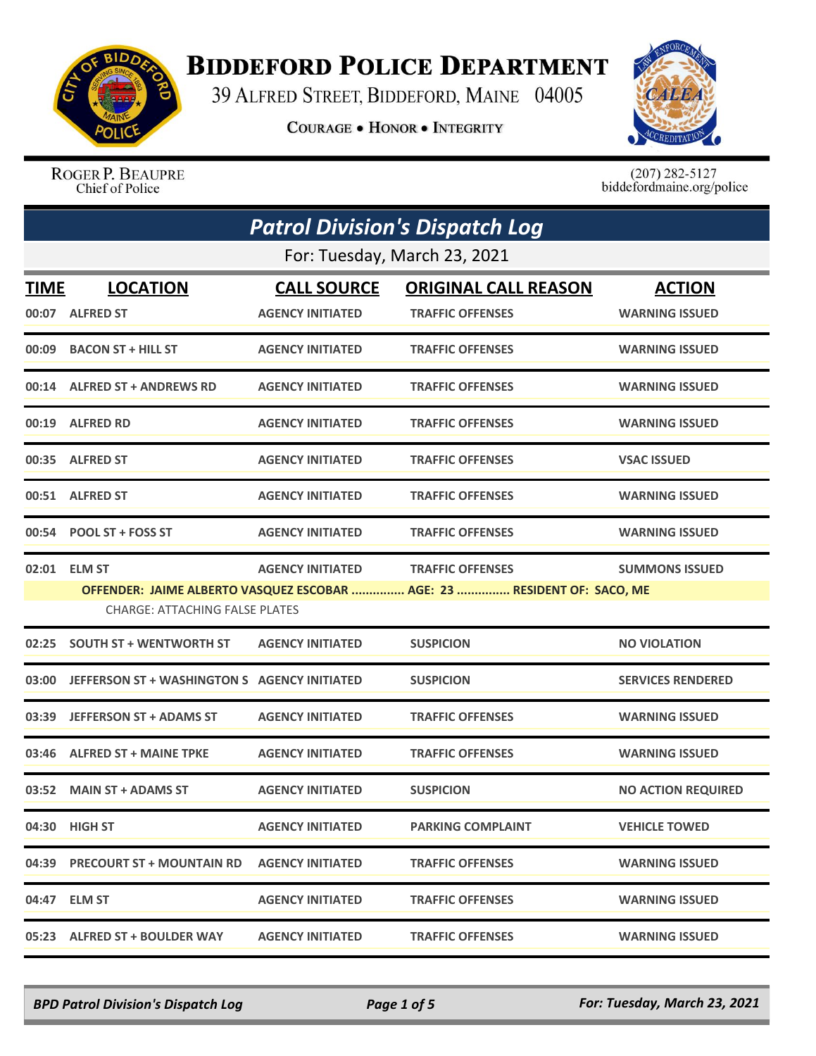

## **BIDDEFORD POLICE DEPARTMENT**

39 ALFRED STREET, BIDDEFORD, MAINE 04005

**COURAGE . HONOR . INTEGRITY** 



ROGER P. BEAUPRE Chief of Police

 $(207)$  282-5127<br>biddefordmaine.org/police

| <b>Patrol Division's Dispatch Log</b> |                                              |                         |                                                                         |                           |  |
|---------------------------------------|----------------------------------------------|-------------------------|-------------------------------------------------------------------------|---------------------------|--|
|                                       | For: Tuesday, March 23, 2021                 |                         |                                                                         |                           |  |
| <b>TIME</b>                           | <b>LOCATION</b>                              | <b>CALL SOURCE</b>      | <b>ORIGINAL CALL REASON</b>                                             | <b>ACTION</b>             |  |
|                                       | 00:07 ALFRED ST                              | <b>AGENCY INITIATED</b> | <b>TRAFFIC OFFENSES</b>                                                 | <b>WARNING ISSUED</b>     |  |
| 00:09                                 | <b>BACON ST + HILL ST</b>                    | <b>AGENCY INITIATED</b> | <b>TRAFFIC OFFENSES</b>                                                 | <b>WARNING ISSUED</b>     |  |
|                                       | 00:14 ALFRED ST + ANDREWS RD                 | <b>AGENCY INITIATED</b> | <b>TRAFFIC OFFENSES</b>                                                 | <b>WARNING ISSUED</b>     |  |
|                                       | 00:19 ALFRED RD                              | <b>AGENCY INITIATED</b> | <b>TRAFFIC OFFENSES</b>                                                 | <b>WARNING ISSUED</b>     |  |
|                                       | 00:35 ALFRED ST                              | <b>AGENCY INITIATED</b> | <b>TRAFFIC OFFENSES</b>                                                 | <b>VSAC ISSUED</b>        |  |
|                                       | 00:51 ALFRED ST                              | <b>AGENCY INITIATED</b> | <b>TRAFFIC OFFENSES</b>                                                 | <b>WARNING ISSUED</b>     |  |
|                                       | 00:54 POOL ST + FOSS ST                      | <b>AGENCY INITIATED</b> | <b>TRAFFIC OFFENSES</b>                                                 | <b>WARNING ISSUED</b>     |  |
|                                       | 02:01 ELM ST                                 | <b>AGENCY INITIATED</b> | <b>TRAFFIC OFFENSES</b>                                                 | <b>SUMMONS ISSUED</b>     |  |
|                                       | <b>CHARGE: ATTACHING FALSE PLATES</b>        |                         | OFFENDER: JAIME ALBERTO VASQUEZ ESCOBAR  AGE: 23  RESIDENT OF: SACO, ME |                           |  |
| 02:25                                 | <b>SOUTH ST + WENTWORTH ST</b>               | <b>AGENCY INITIATED</b> | <b>SUSPICION</b>                                                        | <b>NO VIOLATION</b>       |  |
| 03:00                                 | JEFFERSON ST + WASHINGTON S AGENCY INITIATED |                         | <b>SUSPICION</b>                                                        | <b>SERVICES RENDERED</b>  |  |
| 03:39                                 | <b>JEFFERSON ST + ADAMS ST</b>               | <b>AGENCY INITIATED</b> | <b>TRAFFIC OFFENSES</b>                                                 | <b>WARNING ISSUED</b>     |  |
| 03:46                                 | <b>ALFRED ST + MAINE TPKE</b>                | <b>AGENCY INITIATED</b> | <b>TRAFFIC OFFENSES</b>                                                 | <b>WARNING ISSUED</b>     |  |
|                                       | 03:52 MAIN ST + ADAMS ST                     | <b>AGENCY INITIATED</b> | <b>SUSPICION</b>                                                        | <b>NO ACTION REQUIRED</b> |  |
|                                       | 04:30 HIGH ST                                | <b>AGENCY INITIATED</b> | <b>PARKING COMPLAINT</b>                                                | <b>VEHICLE TOWED</b>      |  |
|                                       | 04:39 PRECOURT ST + MOUNTAIN RD              | <b>AGENCY INITIATED</b> | <b>TRAFFIC OFFENSES</b>                                                 | <b>WARNING ISSUED</b>     |  |
|                                       | 04:47 ELM ST                                 | <b>AGENCY INITIATED</b> | <b>TRAFFIC OFFENSES</b>                                                 | <b>WARNING ISSUED</b>     |  |
|                                       | 05:23 ALFRED ST + BOULDER WAY                | <b>AGENCY INITIATED</b> | <b>TRAFFIC OFFENSES</b>                                                 | <b>WARNING ISSUED</b>     |  |

*BPD Patrol Division's Dispatch Log Page 1 of 5 For: Tuesday, March 23, 2021*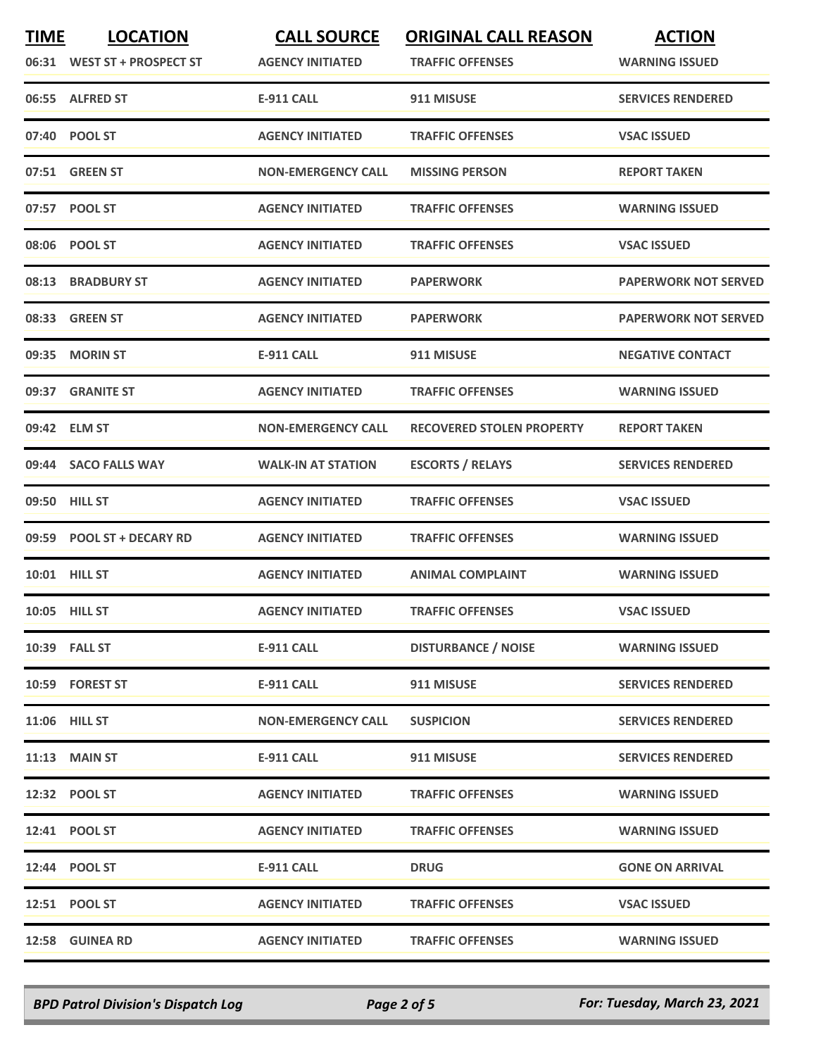| <b>TIME</b> | <b>LOCATION</b><br>06:31 WEST ST + PROSPECT ST | <b>CALL SOURCE</b><br><b>AGENCY INITIATED</b> | <b>ORIGINAL CALL REASON</b><br><b>TRAFFIC OFFENSES</b> | <b>ACTION</b><br><b>WARNING ISSUED</b> |
|-------------|------------------------------------------------|-----------------------------------------------|--------------------------------------------------------|----------------------------------------|
|             | 06:55 ALFRED ST                                | <b>E-911 CALL</b>                             | 911 MISUSE                                             | <b>SERVICES RENDERED</b>               |
|             | 07:40 POOL ST                                  | <b>AGENCY INITIATED</b>                       | <b>TRAFFIC OFFENSES</b>                                | <b>VSAC ISSUED</b>                     |
|             | 07:51 GREEN ST                                 | <b>NON-EMERGENCY CALL</b>                     | <b>MISSING PERSON</b>                                  | <b>REPORT TAKEN</b>                    |
|             | 07:57 POOL ST                                  | <b>AGENCY INITIATED</b>                       | <b>TRAFFIC OFFENSES</b>                                | <b>WARNING ISSUED</b>                  |
|             | 08:06 POOL ST                                  | <b>AGENCY INITIATED</b>                       | <b>TRAFFIC OFFENSES</b>                                | <b>VSAC ISSUED</b>                     |
| 08:13       | <b>BRADBURY ST</b>                             | <b>AGENCY INITIATED</b>                       | <b>PAPERWORK</b>                                       | <b>PAPERWORK NOT SERVED</b>            |
|             | 08:33 GREEN ST                                 | <b>AGENCY INITIATED</b>                       | <b>PAPERWORK</b>                                       | <b>PAPERWORK NOT SERVED</b>            |
|             | 09:35 MORIN ST                                 | <b>E-911 CALL</b>                             | 911 MISUSE                                             | <b>NEGATIVE CONTACT</b>                |
|             | 09:37 GRANITE ST                               | <b>AGENCY INITIATED</b>                       | <b>TRAFFIC OFFENSES</b>                                | <b>WARNING ISSUED</b>                  |
|             | 09:42 ELM ST                                   | <b>NON-EMERGENCY CALL</b>                     | <b>RECOVERED STOLEN PROPERTY</b>                       | <b>REPORT TAKEN</b>                    |
|             | 09:44 SACO FALLS WAY                           | <b>WALK-IN AT STATION</b>                     | <b>ESCORTS / RELAYS</b>                                | <b>SERVICES RENDERED</b>               |
|             | 09:50 HILL ST                                  | <b>AGENCY INITIATED</b>                       | <b>TRAFFIC OFFENSES</b>                                | <b>VSAC ISSUED</b>                     |
| 09:59       | <b>POOL ST + DECARY RD</b>                     | <b>AGENCY INITIATED</b>                       | <b>TRAFFIC OFFENSES</b>                                | <b>WARNING ISSUED</b>                  |
|             | 10:01 HILL ST                                  | <b>AGENCY INITIATED</b>                       | <b>ANIMAL COMPLAINT</b>                                | <b>WARNING ISSUED</b>                  |
|             | 10:05 HILL ST                                  | <b>AGENCY INITIATED</b>                       | <b>TRAFFIC OFFENSES</b>                                | <b>VSAC ISSUED</b>                     |
|             | 10:39 FALL ST                                  | <b>E-911 CALL</b>                             | <b>DISTURBANCE / NOISE</b>                             | <b>WARNING ISSUED</b>                  |
|             | 10:59 FOREST ST                                | E-911 CALL                                    | 911 MISUSE                                             | <b>SERVICES RENDERED</b>               |
|             | 11:06 HILL ST                                  | <b>NON-EMERGENCY CALL</b>                     | <b>SUSPICION</b>                                       | <b>SERVICES RENDERED</b>               |
|             | <b>11:13 MAIN ST</b>                           | <b>E-911 CALL</b>                             | 911 MISUSE                                             | <b>SERVICES RENDERED</b>               |
|             | 12:32 POOL ST                                  | <b>AGENCY INITIATED</b>                       | <b>TRAFFIC OFFENSES</b>                                | <b>WARNING ISSUED</b>                  |
|             | 12:41 POOL ST                                  | <b>AGENCY INITIATED</b>                       | <b>TRAFFIC OFFENSES</b>                                | <b>WARNING ISSUED</b>                  |
|             | 12:44 POOL ST                                  | <b>E-911 CALL</b>                             | <b>DRUG</b>                                            | <b>GONE ON ARRIVAL</b>                 |
|             | 12:51 POOL ST                                  | <b>AGENCY INITIATED</b>                       | <b>TRAFFIC OFFENSES</b>                                | <b>VSAC ISSUED</b>                     |
|             | 12:58 GUINEA RD                                | <b>AGENCY INITIATED</b>                       | <b>TRAFFIC OFFENSES</b>                                | <b>WARNING ISSUED</b>                  |

*BPD Patrol Division's Dispatch Log Page 2 of 5 For: Tuesday, March 23, 2021*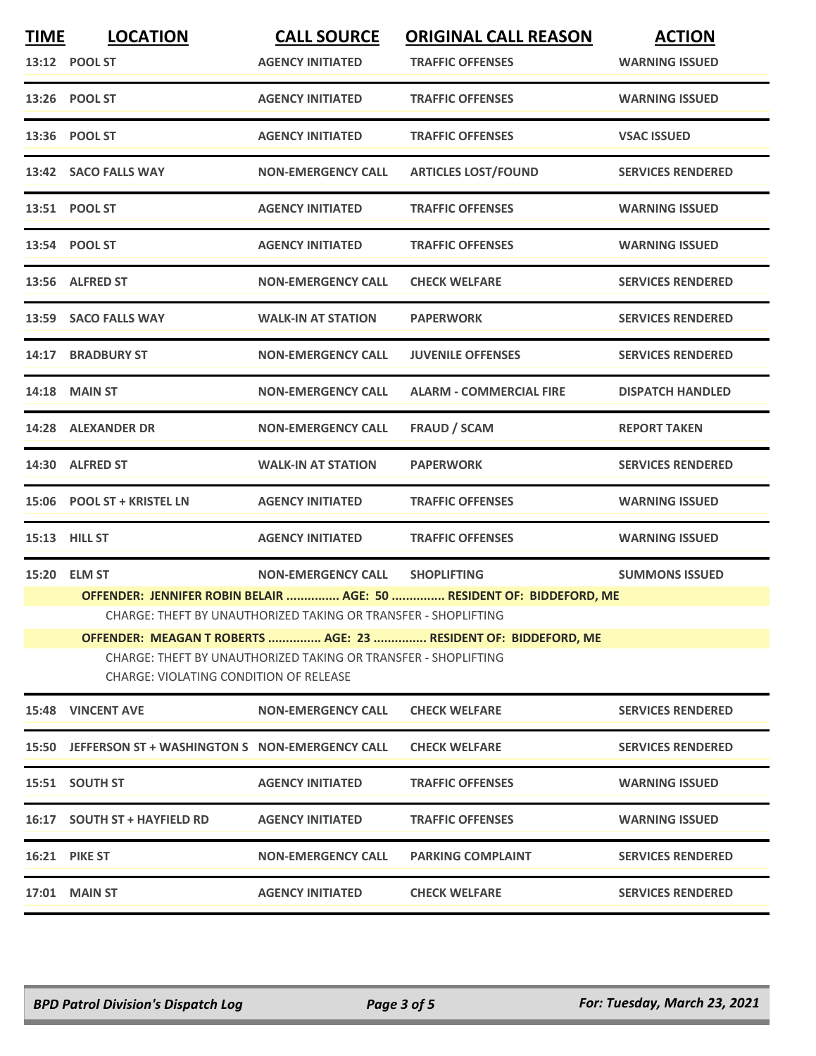| <b>TIME</b> | <b>LOCATION</b>                                                                                          | <b>CALL SOURCE</b>                                             | <b>ORIGINAL CALL REASON</b>                                          | <b>ACTION</b>            |  |
|-------------|----------------------------------------------------------------------------------------------------------|----------------------------------------------------------------|----------------------------------------------------------------------|--------------------------|--|
|             | 13:12 POOL ST                                                                                            | <b>AGENCY INITIATED</b>                                        | <b>TRAFFIC OFFENSES</b>                                              | <b>WARNING ISSUED</b>    |  |
|             | 13:26 POOL ST                                                                                            | <b>AGENCY INITIATED</b>                                        | <b>TRAFFIC OFFENSES</b>                                              | <b>WARNING ISSUED</b>    |  |
|             | 13:36 POOL ST                                                                                            | <b>AGENCY INITIATED</b>                                        | <b>TRAFFIC OFFENSES</b>                                              | <b>VSAC ISSUED</b>       |  |
|             | 13:42 SACO FALLS WAY                                                                                     | <b>NON-EMERGENCY CALL</b>                                      | <b>ARTICLES LOST/FOUND</b>                                           | <b>SERVICES RENDERED</b> |  |
|             | 13:51 POOL ST                                                                                            | <b>AGENCY INITIATED</b>                                        | <b>TRAFFIC OFFENSES</b>                                              | <b>WARNING ISSUED</b>    |  |
|             | 13:54 POOL ST                                                                                            | <b>AGENCY INITIATED</b>                                        | <b>TRAFFIC OFFENSES</b>                                              | <b>WARNING ISSUED</b>    |  |
|             | 13:56 ALFRED ST                                                                                          | <b>NON-EMERGENCY CALL</b>                                      | <b>CHECK WELFARE</b>                                                 | <b>SERVICES RENDERED</b> |  |
|             | 13:59 SACO FALLS WAY                                                                                     | <b>WALK-IN AT STATION</b>                                      | <b>PAPERWORK</b>                                                     | <b>SERVICES RENDERED</b> |  |
|             | 14:17 BRADBURY ST                                                                                        | <b>NON-EMERGENCY CALL</b>                                      | <b>JUVENILE OFFENSES</b>                                             | <b>SERVICES RENDERED</b> |  |
|             | <b>14:18 MAIN ST</b>                                                                                     | <b>NON-EMERGENCY CALL</b>                                      | <b>ALARM - COMMERCIAL FIRE</b>                                       | <b>DISPATCH HANDLED</b>  |  |
|             | 14:28 ALEXANDER DR                                                                                       | <b>NON-EMERGENCY CALL</b>                                      | <b>FRAUD / SCAM</b>                                                  | <b>REPORT TAKEN</b>      |  |
|             | 14:30 ALFRED ST                                                                                          | <b>WALK-IN AT STATION</b>                                      | <b>PAPERWORK</b>                                                     | <b>SERVICES RENDERED</b> |  |
|             | 15:06 POOL ST + KRISTEL LN                                                                               | <b>AGENCY INITIATED</b>                                        | <b>TRAFFIC OFFENSES</b>                                              | <b>WARNING ISSUED</b>    |  |
|             | <b>15:13 HILL ST</b>                                                                                     | <b>AGENCY INITIATED</b>                                        | <b>TRAFFIC OFFENSES</b>                                              | <b>WARNING ISSUED</b>    |  |
|             | 15:20 ELM ST                                                                                             | <b>NON-EMERGENCY CALL</b>                                      | <b>SHOPLIFTING</b>                                                   | <b>SUMMONS ISSUED</b>    |  |
|             |                                                                                                          |                                                                | OFFENDER: JENNIFER ROBIN BELAIR  AGE: 50  RESIDENT OF: BIDDEFORD, ME |                          |  |
|             |                                                                                                          | CHARGE: THEFT BY UNAUTHORIZED TAKING OR TRANSFER - SHOPLIFTING |                                                                      |                          |  |
|             |                                                                                                          |                                                                | OFFENDER: MEAGAN T ROBERTS  AGE: 23  RESIDENT OF: BIDDEFORD, ME      |                          |  |
|             | CHARGE: THEFT BY UNAUTHORIZED TAKING OR TRANSFER - SHOPLIFTING<br>CHARGE: VIOLATING CONDITION OF RELEASE |                                                                |                                                                      |                          |  |
|             | <b>15:48 VINCENT AVE</b>                                                                                 | <b>NON-EMERGENCY CALL</b>                                      | <b>CHECK WELFARE</b>                                                 | <b>SERVICES RENDERED</b> |  |
|             | 15:50 JEFFERSON ST + WASHINGTON S NON-EMERGENCY CALL                                                     |                                                                | <b>CHECK WELFARE</b>                                                 | <b>SERVICES RENDERED</b> |  |
|             | 15:51 SOUTH ST                                                                                           | <b>AGENCY INITIATED</b>                                        | <b>TRAFFIC OFFENSES</b>                                              | <b>WARNING ISSUED</b>    |  |
|             | 16:17 SOUTH ST + HAYFIELD RD                                                                             | <b>AGENCY INITIATED</b>                                        | <b>TRAFFIC OFFENSES</b>                                              | <b>WARNING ISSUED</b>    |  |
|             | <b>16:21 PIKE ST</b>                                                                                     | <b>NON-EMERGENCY CALL</b>                                      | <b>PARKING COMPLAINT</b>                                             | <b>SERVICES RENDERED</b> |  |
|             | <b>17:01 MAIN ST</b>                                                                                     | <b>AGENCY INITIATED</b>                                        | <b>CHECK WELFARE</b>                                                 | <b>SERVICES RENDERED</b> |  |
|             |                                                                                                          |                                                                |                                                                      |                          |  |

*BPD Patrol Division's Dispatch Log Page 3 of 5 For: Tuesday, March 23, 2021*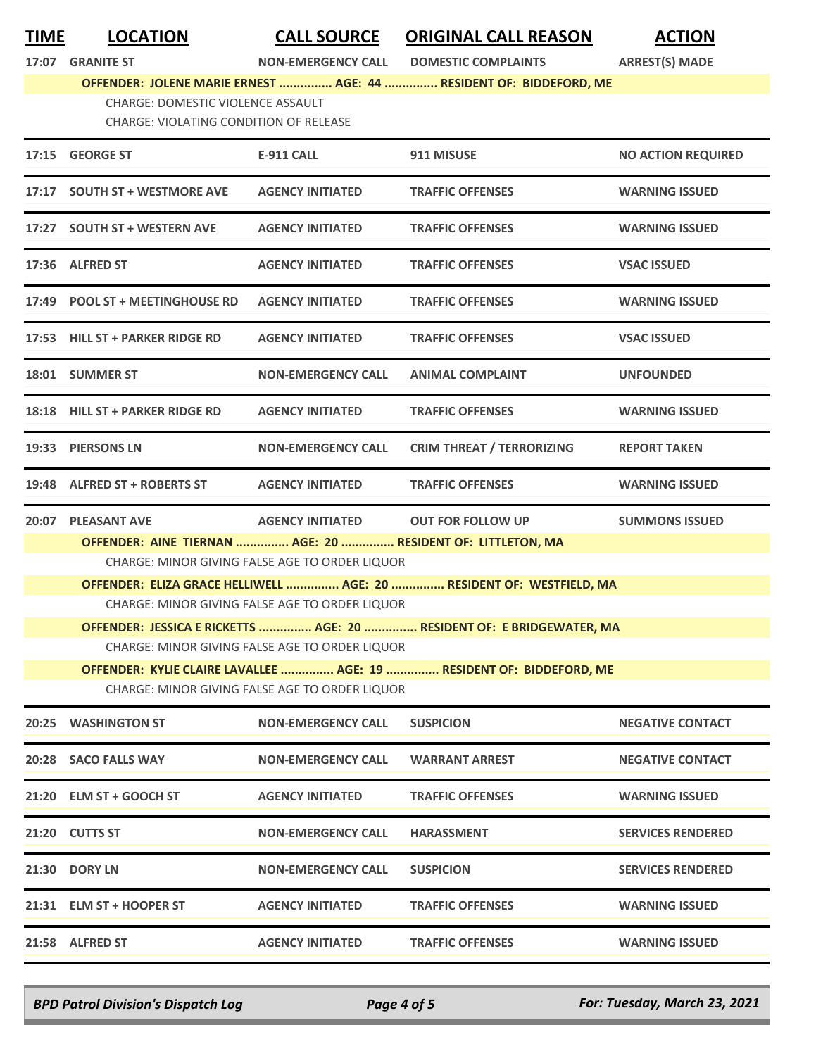**TIME LOCATION CALL SOURCE ORIGINAL CALL REASON ACTION**

**17:07 GRANITE ST NON-EMERGENCY CALL DOMESTIC COMPLAINTS ARREST(S) MADE**

**OFFENDER: JOLENE MARIE ERNEST ............... AGE: 44 ............... RESIDENT OF: BIDDEFORD, ME**

CHARGE: DOMESTIC VIOLENCE ASSAULT CHARGE: VIOLATING CONDITION OF RELEASE

|       | 17:15 GEORGE ST                                                       | E-911 CALL                                     | 911 MISUSE                       | <b>NO ACTION REQUIRED</b> |
|-------|-----------------------------------------------------------------------|------------------------------------------------|----------------------------------|---------------------------|
|       | 17:17 SOUTH ST + WESTMORE AVE                                         | <b>AGENCY INITIATED</b>                        | <b>TRAFFIC OFFENSES</b>          | <b>WARNING ISSUED</b>     |
|       | 17:27 SOUTH ST + WESTERN AVE                                          | <b>AGENCY INITIATED</b>                        | <b>TRAFFIC OFFENSES</b>          | <b>WARNING ISSUED</b>     |
|       | 17:36 ALFRED ST                                                       | <b>AGENCY INITIATED</b>                        | <b>TRAFFIC OFFENSES</b>          | <b>VSAC ISSUED</b>        |
|       | 17:49 POOL ST + MEETINGHOUSE RD                                       | <b>AGENCY INITIATED</b>                        | <b>TRAFFIC OFFENSES</b>          | <b>WARNING ISSUED</b>     |
|       | 17:53 HILL ST + PARKER RIDGE RD                                       | <b>AGENCY INITIATED</b>                        | <b>TRAFFIC OFFENSES</b>          | <b>VSAC ISSUED</b>        |
|       | 18:01 SUMMER ST                                                       | <b>NON-EMERGENCY CALL</b>                      | <b>ANIMAL COMPLAINT</b>          | <b>UNFOUNDED</b>          |
|       | 18:18 HILL ST + PARKER RIDGE RD                                       | <b>AGENCY INITIATED</b>                        | <b>TRAFFIC OFFENSES</b>          | <b>WARNING ISSUED</b>     |
|       | 19:33 PIERSONS LN                                                     | <b>NON-EMERGENCY CALL</b>                      | <b>CRIM THREAT / TERRORIZING</b> | <b>REPORT TAKEN</b>       |
|       | 19:48 ALFRED ST + ROBERTS ST                                          | <b>AGENCY INITIATED</b>                        | <b>TRAFFIC OFFENSES</b>          | <b>WARNING ISSUED</b>     |
| 20:07 | <b>PLEASANT AVE</b>                                                   | <b>AGENCY INITIATED</b>                        | <b>OUT FOR FOLLOW UP</b>         | <b>SUMMONS ISSUED</b>     |
|       | OFFENDER: AINE TIERNAN  AGE: 20  RESIDENT OF: LITTLETON, MA           |                                                |                                  |                           |
|       | CHARGE: MINOR GIVING FALSE AGE TO ORDER LIQUOR                        |                                                |                                  |                           |
|       | OFFENDER: ELIZA GRACE HELLIWELL  AGE: 20  RESIDENT OF: WESTFIELD, MA  |                                                |                                  |                           |
|       | CHARGE: MINOR GIVING FALSE AGE TO ORDER LIQUOR                        |                                                |                                  |                           |
|       | OFFENDER: JESSICA E RICKETTS  AGE: 20  RESIDENT OF: E BRIDGEWATER, MA |                                                |                                  |                           |
|       | CHARGE: MINOR GIVING FALSE AGE TO ORDER LIQUOR                        |                                                |                                  |                           |
|       | OFFENDER: KYLIE CLAIRE LAVALLEE  AGE: 19  RESIDENT OF: BIDDEFORD, ME  |                                                |                                  |                           |
|       |                                                                       | CHARGE: MINOR GIVING FALSE AGE TO ORDER LIQUOR |                                  |                           |
|       | 20:25 WASHINGTON ST                                                   | <b>NON-EMERGENCY CALL</b>                      | <b>SUSPICION</b>                 | <b>NEGATIVE CONTACT</b>   |
|       | 20:28 SACO FALLS WAY                                                  | <b>NON-EMERGENCY CALL</b>                      | <b>WARRANT ARREST</b>            | <b>NEGATIVE CONTACT</b>   |
|       | 21:20 ELM ST + GOOCH ST                                               | <b>AGENCY INITIATED</b>                        | <b>TRAFFIC OFFENSES</b>          | <b>WARNING ISSUED</b>     |
|       | 21:20 CUTTS ST                                                        | <b>NON-EMERGENCY CALL</b>                      | <b>HARASSMENT</b>                | <b>SERVICES RENDERED</b>  |
|       | 21:30 DORY LN                                                         | <b>NON-EMERGENCY CALL</b>                      | <b>SUSPICION</b>                 | <b>SERVICES RENDERED</b>  |
|       | 21:31 ELM ST + HOOPER ST                                              | <b>AGENCY INITIATED</b>                        | <b>TRAFFIC OFFENSES</b>          | <b>WARNING ISSUED</b>     |
|       | 21:58 ALFRED ST                                                       | <b>AGENCY INITIATED</b>                        | <b>TRAFFIC OFFENSES</b>          | <b>WARNING ISSUED</b>     |

*BPD Patrol Division's Dispatch Log Page 4 of 5 For: Tuesday, March 23, 2021*